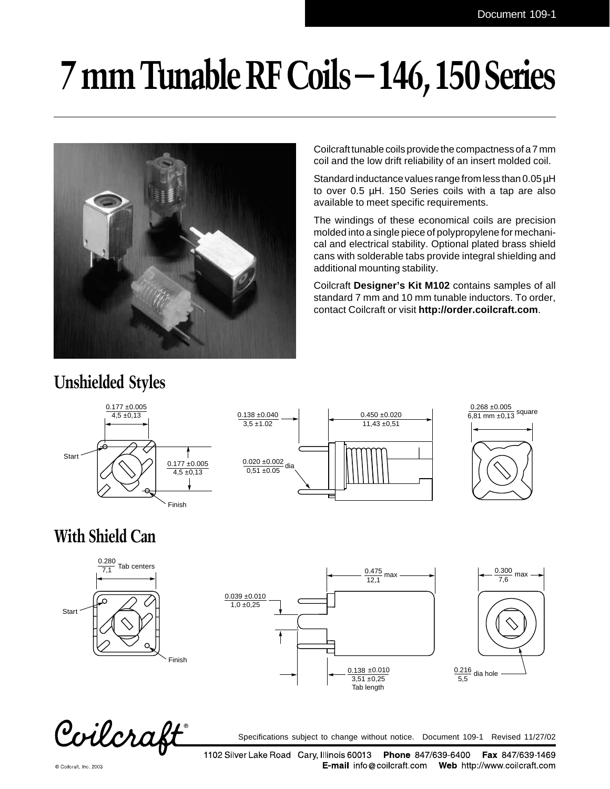# **7 mm Tunable RF Coils – 146, 150 Series**



Coilcraft tunable coils provide the compactness of a 7 mm coil and the low drift reliability of an insert molded coil.

Standard inductance values range from less than 0.05  $\mu$ H to over 0.5 µH. 150 Series coils with a tap are also available to meet specific requirements.

The windings of these economical coils are precision molded into a single piece of polypropylene for mechanical and electrical stability. Optional plated brass shield cans with solderable tabs provide integral shielding and additional mounting stability.

Coilcraft **Designer's Kit M102** contains samples of all standard 7 mm and 10 mm tunable inductors. To order, contact Coilcraft or visit **http://order.coilcraft.com**.

### **Unshielded Styles**







### **With Shield Can**







Coilcraft

Specifications subject to change without notice. Document 109-1 Revised 11/27/02

© Coilcraft, Inc. 2003

1102 Silver Lake Road Cary, Illinois 60013 Phone 847/639-6400 Fax 847/639-1469 **E-mail** info@coilcraft.com Web http://www.coilcraft.com